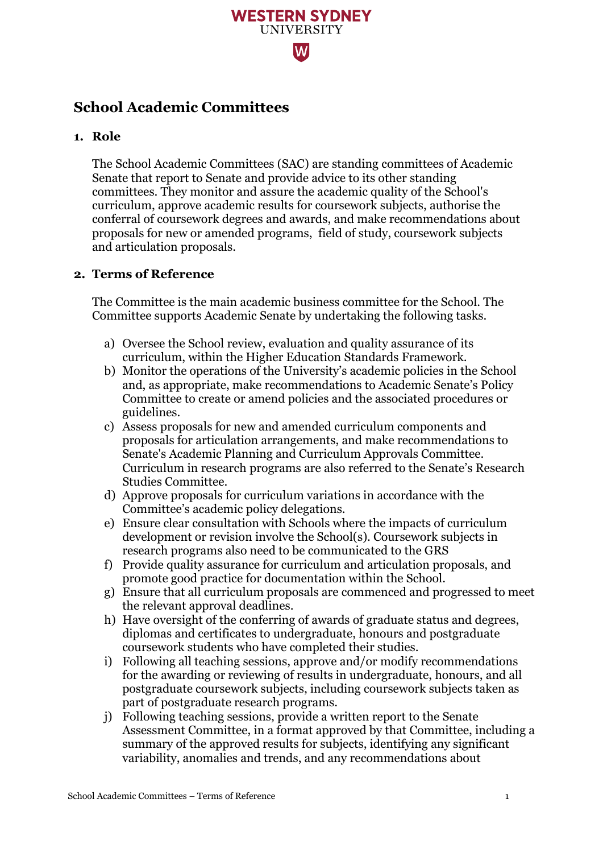

# **School Academic Committees**

# **1. Role**

The School Academic Committees (SAC) are standing committees of Academic Senate that report to Senate and provide advice to its other standing committees. They monitor and assure the academic quality of the School's curriculum, approve academic results for coursework subjects, authorise the conferral of coursework degrees and awards, and make recommendations about proposals for new or amended programs, field of study, coursework subjects and articulation proposals.

### **2. Terms of Reference**

The Committee is the main academic business committee for the School. The Committee supports Academic Senate by undertaking the following tasks.

- a) Oversee the School review, evaluation and quality assurance of its curriculum, within the Higher Education Standards Framework.
- b) Monitor the operations of the University's academic policies in the School and, as appropriate, make recommendations to Academic Senate's Policy Committee to create or amend policies and the associated procedures or guidelines.
- c) Assess proposals for new and amended curriculum components and proposals for articulation arrangements, and make recommendations to Senate's Academic Planning and Curriculum Approvals Committee. Curriculum in research programs are also referred to the Senate's Research Studies Committee.
- d) Approve proposals for curriculum variations in accordance with the Committee's academic policy delegations.
- e) Ensure clear consultation with Schools where the impacts of curriculum development or revision involve the School(s). Coursework subjects in research programs also need to be communicated to the GRS
- f) Provide quality assurance for curriculum and articulation proposals, and promote good practice for documentation within the School.
- g) Ensure that all curriculum proposals are commenced and progressed to meet the relevant approval deadlines.
- h) Have oversight of the conferring of awards of graduate status and degrees, diplomas and certificates to undergraduate, honours and postgraduate coursework students who have completed their studies.
- i) Following all teaching sessions, approve and/or modify recommendations for the awarding or reviewing of results in undergraduate, honours, and all postgraduate coursework subjects, including coursework subjects taken as part of postgraduate research programs.
- j) Following teaching sessions, provide a written report to the Senate Assessment Committee, in a format approved by that Committee, including a summary of the approved results for subjects, identifying any significant variability, anomalies and trends, and any recommendations about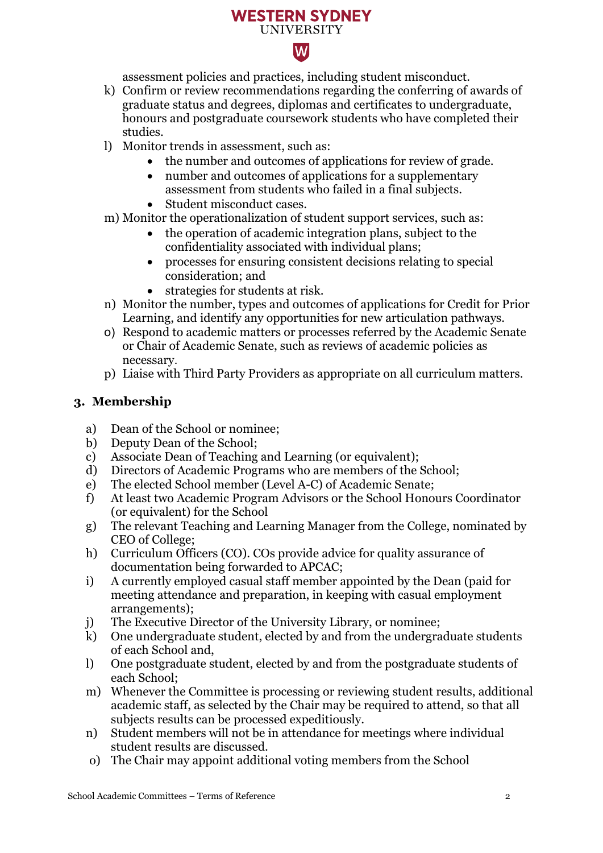### **WESTERN SYDNEY UNIVERSITY**



assessment policies and practices, including student misconduct.

- k) Confirm or review recommendations regarding the conferring of awards of graduate status and degrees, diplomas and certificates to undergraduate, honours and postgraduate coursework students who have completed their studies.
- l) Monitor trends in assessment, such as:
	- the number and outcomes of applications for review of grade.
	- number and outcomes of applications for a supplementary assessment from students who failed in a final subjects.
	- Student misconduct cases.
- m) Monitor the operationalization of student support services, such as:
	- the operation of academic integration plans, subject to the confidentiality associated with individual plans;
	- processes for ensuring consistent decisions relating to special consideration; and
	- strategies for students at risk.
- n) Monitor the number, types and outcomes of applications for Credit for Prior Learning, and identify any opportunities for new articulation pathways.
- o) Respond to academic matters or processes referred by the Academic Senate or Chair of Academic Senate, such as reviews of academic policies as necessary.
- p) Liaise with Third Party Providers as appropriate on all curriculum matters.

# **3. Membership**

- a) Dean of the School or nominee;
- b) Deputy Dean of the School;
- c) Associate Dean of Teaching and Learning (or equivalent);<br>d) Directors of Academic Programs who are members of the
- Directors of Academic Programs who are members of the School;
- e) The elected School member (Level A-C) of Academic Senate;
- f) At least two Academic Program Advisors or the School Honours Coordinator (or equivalent) for the School
- g) The relevant Teaching and Learning Manager from the College, nominated by CEO of College;
- h) Curriculum Officers (CO). COs provide advice for quality assurance of documentation being forwarded to APCAC;
- i) A currently employed casual staff member appointed by the Dean (paid for meeting attendance and preparation, in keeping with casual employment arrangements);
- j) The Executive Director of the University Library, or nominee;
- k) One undergraduate student, elected by and from the undergraduate students of each School and,
- l) One postgraduate student, elected by and from the postgraduate students of each School;
- m) Whenever the Committee is processing or reviewing student results, additional academic staff, as selected by the Chair may be required to attend, so that all subjects results can be processed expeditiously.
- n) Student members will not be in attendance for meetings where individual student results are discussed.
- o) The Chair may appoint additional voting members from the School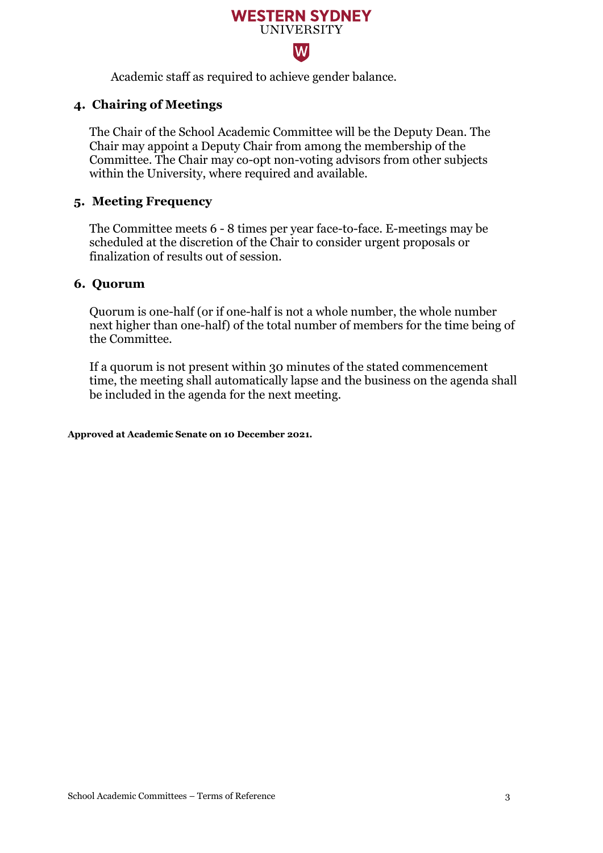# **WESTERN SYDNEY UNIVERSITY**  $\overline{\mathsf{W}}$

Academic staff as required to achieve gender balance.

# **4. Chairing of Meetings**

The Chair of the School Academic Committee will be the Deputy Dean. The Chair may appoint a Deputy Chair from among the membership of the Committee. The Chair may co-opt non-voting advisors from other subjects within the University, where required and available.

### **5. Meeting Frequency**

The Committee meets 6 - 8 times per year face-to-face. E-meetings may be scheduled at the discretion of the Chair to consider urgent proposals or finalization of results out of session.

### **6. Quorum**

Quorum is one-half (or if one-half is not a whole number, the whole number next higher than one-half) of the total number of members for the time being of the Committee.

If a quorum is not present within 30 minutes of the stated commencement time, the meeting shall automatically lapse and the business on the agenda shall be included in the agenda for the next meeting.

#### **Approved at Academic Senate on 10 December 2021.**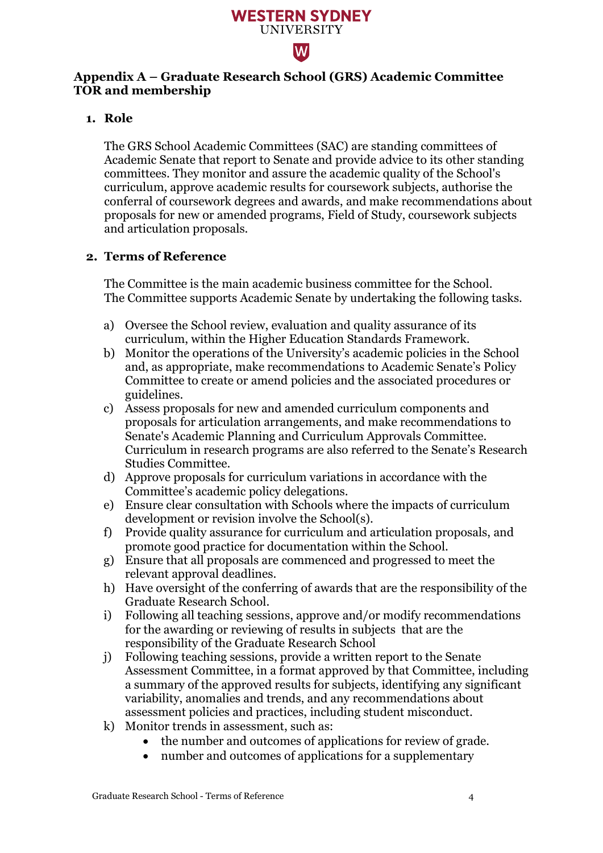

## **Appendix A – Graduate Research School (GRS) Academic Committee TOR and membership**

### **1. Role**

The GRS School Academic Committees (SAC) are standing committees of Academic Senate that report to Senate and provide advice to its other standing committees. They monitor and assure the academic quality of the School's curriculum, approve academic results for coursework subjects, authorise the conferral of coursework degrees and awards, and make recommendations about proposals for new or amended programs, Field of Study, coursework subjects and articulation proposals.

## **2. Terms of Reference**

The Committee is the main academic business committee for the School. The Committee supports Academic Senate by undertaking the following tasks.

- a) Oversee the School review, evaluation and quality assurance of its curriculum, within the Higher Education Standards Framework.
- b) Monitor the operations of the University's academic policies in the School and, as appropriate, make recommendations to Academic Senate's Policy Committee to create or amend policies and the associated procedures or guidelines.
- c) Assess proposals for new and amended curriculum components and proposals for articulation arrangements, and make recommendations to Senate's Academic Planning and Curriculum Approvals Committee. Curriculum in research programs are also referred to the Senate's Research Studies Committee.
- d) Approve proposals for curriculum variations in accordance with the Committee's academic policy delegations.
- e) Ensure clear consultation with Schools where the impacts of curriculum development or revision involve the School(s).
- f) Provide quality assurance for curriculum and articulation proposals, and promote good practice for documentation within the School.
- g) Ensure that all proposals are commenced and progressed to meet the relevant approval deadlines.
- h) Have oversight of the conferring of awards that are the responsibility of the Graduate Research School.
- i) Following all teaching sessions, approve and/or modify recommendations for the awarding or reviewing of results in subjects that are the responsibility of the Graduate Research School
- j) Following teaching sessions, provide a written report to the Senate Assessment Committee, in a format approved by that Committee, including a summary of the approved results for subjects, identifying any significant variability, anomalies and trends, and any recommendations about assessment policies and practices, including student misconduct.
- k) Monitor trends in assessment, such as:
	- the number and outcomes of applications for review of grade.
	- number and outcomes of applications for a supplementary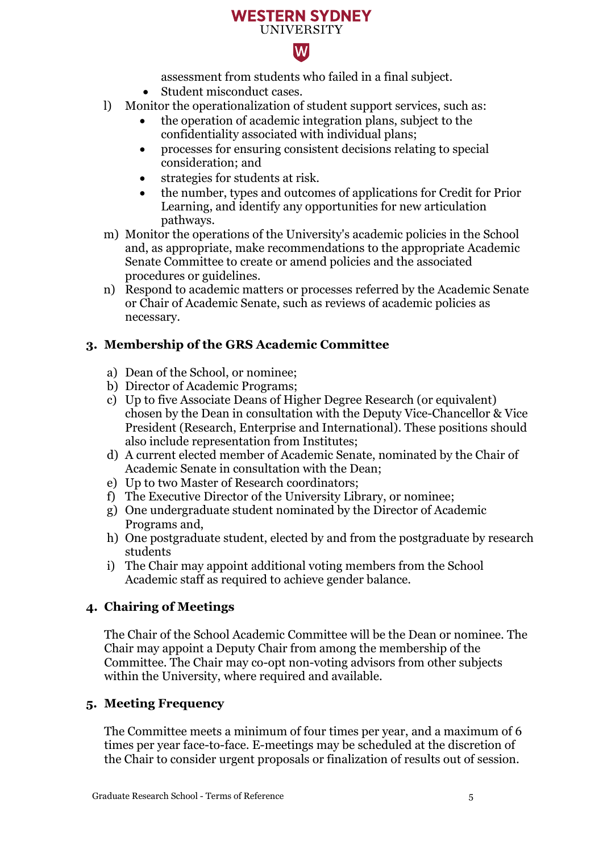### **WESTERN SYDNEY UNIVERSITY**



assessment from students who failed in a final subject.

- Student misconduct cases.
- l) Monitor the operationalization of student support services, such as:
	- the operation of academic integration plans, subject to the confidentiality associated with individual plans;
	- processes for ensuring consistent decisions relating to special consideration; and
	- strategies for students at risk.
	- the number, types and outcomes of applications for Credit for Prior Learning, and identify any opportunities for new articulation pathways.
- m) Monitor the operations of the University's academic policies in the School and, as appropriate, make recommendations to the appropriate Academic Senate Committee to create or amend policies and the associated procedures or guidelines.
- n) Respond to academic matters or processes referred by the Academic Senate or Chair of Academic Senate, such as reviews of academic policies as necessary.

# **3. Membership of the GRS Academic Committee**

- a) Dean of the School, or nominee;
- b) Director of Academic Programs;
- c) Up to five Associate Deans of Higher Degree Research (or equivalent) chosen by the Dean in consultation with the Deputy Vice-Chancellor & Vice President (Research, Enterprise and International). These positions should also include representation from Institutes;
- d) A current elected member of Academic Senate, nominated by the Chair of Academic Senate in consultation with the Dean;
- e) Up to two Master of Research coordinators;
- f) The Executive Director of the University Library, or nominee;
- g) One undergraduate student nominated by the Director of Academic Programs and,
- h) One postgraduate student, elected by and from the postgraduate by research students
- i) The Chair may appoint additional voting members from the School Academic staff as required to achieve gender balance.

# **4. Chairing of Meetings**

The Chair of the School Academic Committee will be the Dean or nominee. The Chair may appoint a Deputy Chair from among the membership of the Committee. The Chair may co-opt non-voting advisors from other subjects within the University, where required and available.

# **5. Meeting Frequency**

The Committee meets a minimum of four times per year, and a maximum of 6 times per year face-to-face. E-meetings may be scheduled at the discretion of the Chair to consider urgent proposals or finalization of results out of session.